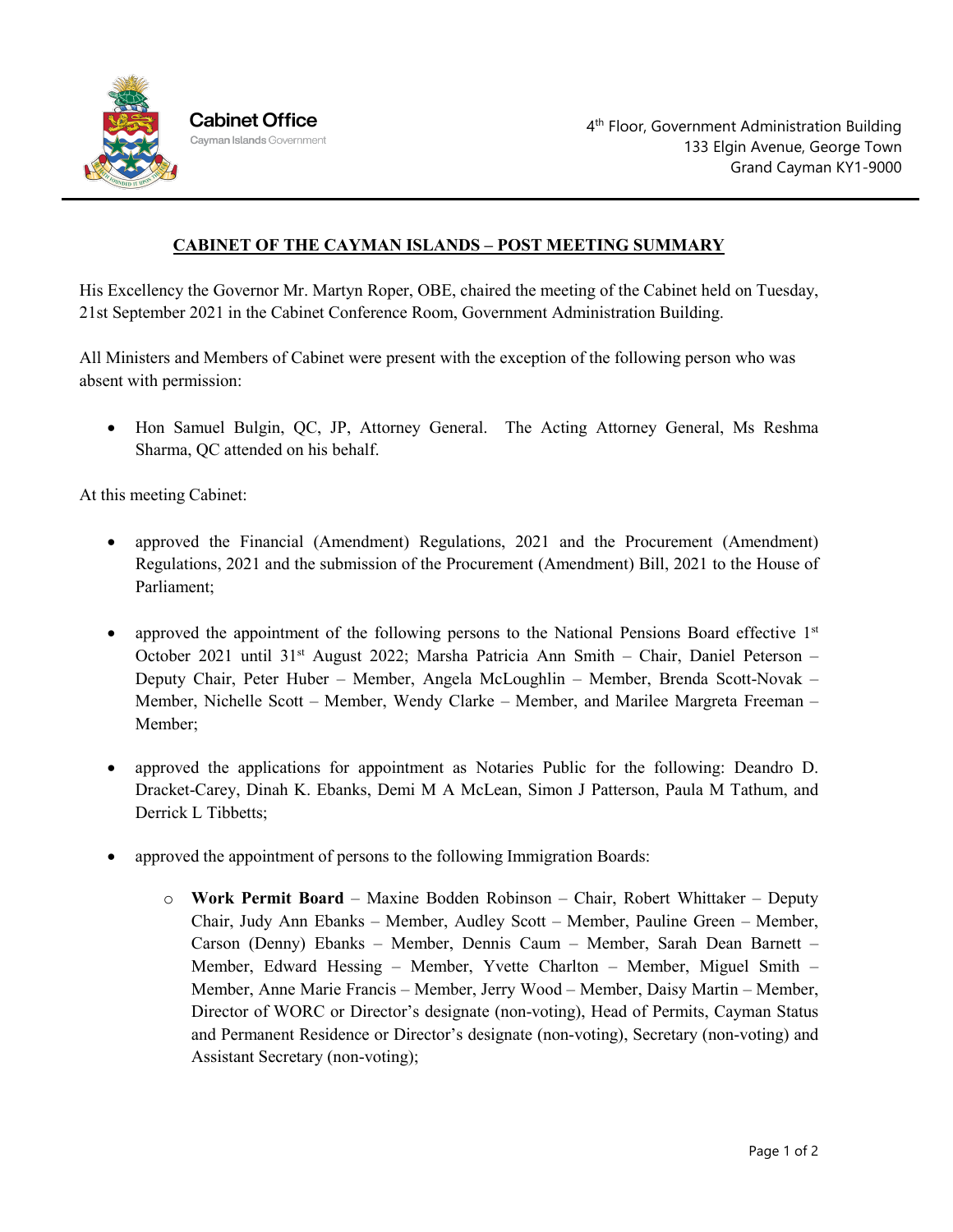

## **CABINET OF THE CAYMAN ISLANDS – POST MEETING SUMMARY**

His Excellency the Governor Mr. Martyn Roper, OBE, chaired the meeting of the Cabinet held on Tuesday, 21st September 2021 in the Cabinet Conference Room, Government Administration Building.

All Ministers and Members of Cabinet were present with the exception of the following person who was absent with permission:

• Hon Samuel Bulgin, QC, JP, Attorney General. The Acting Attorney General, Ms Reshma Sharma, QC attended on his behalf.

At this meeting Cabinet:

- approved the Financial (Amendment) Regulations, 2021 and the Procurement (Amendment) Regulations, 2021 and the submission of the Procurement (Amendment) Bill, 2021 to the House of Parliament;
- approved the appointment of the following persons to the National Pensions Board effective  $1<sup>st</sup>$ October 2021 until 31<sup>st</sup> August 2022; Marsha Patricia Ann Smith – Chair, Daniel Peterson – Deputy Chair, Peter Huber – Member, Angela McLoughlin – Member, Brenda Scott-Novak – Member, Nichelle Scott – Member, Wendy Clarke – Member, and Marilee Margreta Freeman – Member;
- approved the applications for appointment as Notaries Public for the following: Deandro D. Dracket-Carey, Dinah K. Ebanks, Demi M A McLean, Simon J Patterson, Paula M Tathum, and Derrick L Tibbetts;
- approved the appointment of persons to the following Immigration Boards:
	- o **Work Permit Board** Maxine Bodden Robinson Chair, Robert Whittaker Deputy Chair, Judy Ann Ebanks – Member, Audley Scott – Member, Pauline Green – Member, Carson (Denny) Ebanks – Member, Dennis Caum – Member, Sarah Dean Barnett – Member, Edward Hessing – Member, Yvette Charlton – Member, Miguel Smith – Member, Anne Marie Francis – Member, Jerry Wood – Member, Daisy Martin – Member, Director of WORC or Director's designate (non-voting), Head of Permits, Cayman Status and Permanent Residence or Director's designate (non-voting), Secretary (non-voting) and Assistant Secretary (non-voting);